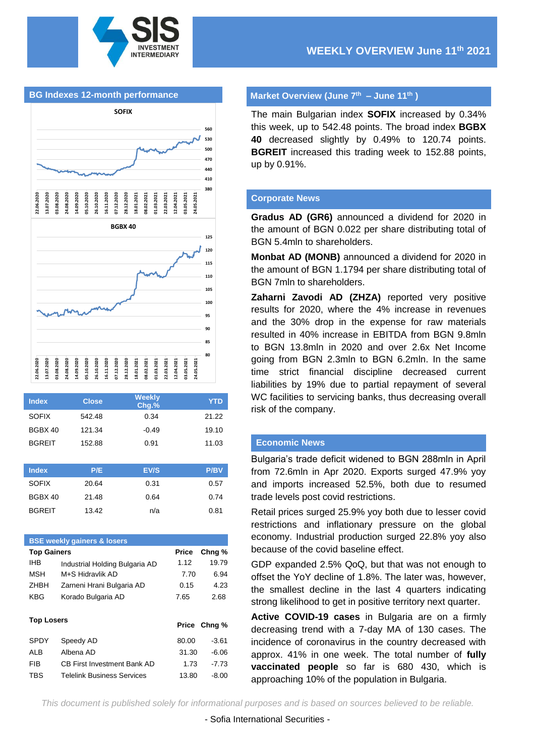



| <b>Index</b>  | <b>Close</b> | Weekly<br>$Chg.$ % | <b>YTD</b>  |
|---------------|--------------|--------------------|-------------|
| <b>SOFIX</b>  | 542.48       | 0.34               | 21.22       |
| BGBX 40       | 121.34       | $-0.49$            | 19.10       |
| <b>BGREIT</b> | 152.88       | 0.91               | 11.03       |
|               |              |                    |             |
| <b>Index</b>  | P/E          | <b>EV/S</b>        | <b>P/BV</b> |
| <b>SOFIX</b>  | 20.64        | 0.31               | 0.57        |
| BGBX 40       | 21.48        | 0.64               | 0.74        |

BGREIT 13.42 n/a 0.81

| <b>BSE weekly gainers &amp; losers</b> |                                |              |         |  |  |  |
|----------------------------------------|--------------------------------|--------------|---------|--|--|--|
| <b>Top Gainers</b>                     |                                | <b>Price</b> | Chng %  |  |  |  |
| IHB                                    | Industrial Holding Bulgaria AD | 1.12         | 19.79   |  |  |  |
| MSH                                    | M+S Hidravlik AD               | 7.70         | 6.94    |  |  |  |
| <b>7HBH</b>                            | Zarneni Hrani Bulgaria AD      | 0.15         | 4.23    |  |  |  |
| KBG                                    | Korado Bulgaria AD             | 7.65         | 2.68    |  |  |  |
| <b>Top Losers</b>                      |                                | Price        | Chng %  |  |  |  |
| <b>SPDY</b>                            | Speedy AD                      | 80.00        | $-3.61$ |  |  |  |
| AI B                                   | Albena AD                      | 31.30        | $-6.06$ |  |  |  |
|                                        |                                |              |         |  |  |  |
| FIB                                    | CB First Investment Bank AD    | 1.73         | $-7.73$ |  |  |  |

### **Market Overview (June 7 th – June 11th )**

The main Bulgarian index **SOFIX** increased by 0.34% this week, up to 542.48 points. The broad index **BGBX 40** decreased slightly by 0.49% to 120.74 points. **BGREIT** increased this trading week to 152.88 points, up by 0.91%.

#### **Corporate News**

**Gradus AD (GR6)** announced a dividend for 2020 in the amount of BGN 0.022 per share distributing total of BGN 5.4mln to shareholders.

**Monbat AD (MONB)** announced a dividend for 2020 in the amount of BGN 1.1794 per share distributing total of BGN 7mln to shareholders.

**Zaharni Zavodi AD (ZHZA)** reported very positive results for 2020, where the 4% increase in revenues and the 30% drop in the expense for raw materials resulted in 40% increase in EBITDA from BGN 9.8mln to BGN 13.8mln in 2020 and over 2.6x Net Income going from BGN 2.3mln to BGN 6.2mln. In the same time strict financial discipline decreased current liabilities by 19% due to partial repayment of several WC facilities to servicing banks, thus decreasing overall risk of the company.

## **Economic News**

Bulgaria's trade deficit widened to BGN 288mln in April from 72.6mln in Apr 2020. Exports surged 47.9% yoy and imports increased 52.5%, both due to resumed trade levels post covid restrictions.

Retail prices surged 25.9% yoy both due to lesser covid restrictions and inflationary pressure on the global economy. Industrial production surged 22.8% yoy also because of the covid baseline effect.

GDP expanded 2.5% QoQ, but that was not enough to offset the YoY decline of 1.8%. The later was, however, the smallest decline in the last 4 quarters indicating strong likelihood to get in positive territory next quarter.

**Active COVID-19 cases** in Bulgaria are on a firmly decreasing trend with a 7-day MA of 130 cases. The incidence of coronavirus in the country decreased with approx. 41% in one week. The total number of **fully vaccinated people** so far is 680 430, which is approaching 10% of the population in Bulgaria.

*This document is published solely for informational purposes and is based on sources believed to be reliable.*